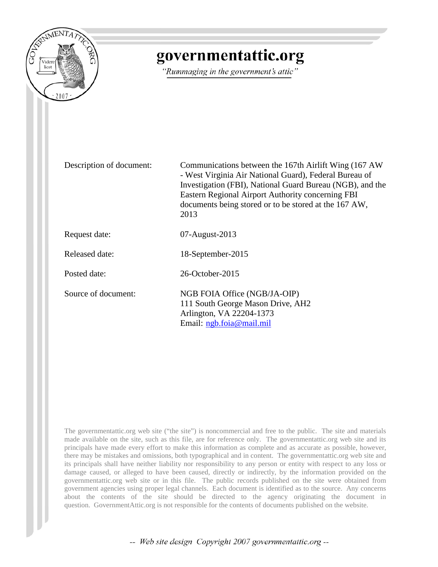

# governmentattic.org

"Rummaging in the government's attic"

Description of document: Communications between the 167th Airlift Wing (167 AW - West Virginia Air National Guard), Federal Bureau of Investigation (FBI), National Guard Bureau (NGB), and the Eastern Regional Airport Authority concerning FBI documents being stored or to be stored at the 167 AW, 2013 Request date: 07-August-2013 Released date: 18-September-2015 Posted date: 26-October-2015 Source of document: NGB FOIA Office (NGB/JA-OIP) 111 South George Mason Drive, AH2 Arlington, VA 22204-1373 Email: [ngb.foia@mail.mil](mailto:ngb.foia@mail.mil?subject=FOIA%20Request)

The governmentattic.org web site ("the site") is noncommercial and free to the public. The site and materials made available on the site, such as this file, are for reference only. The governmentattic.org web site and its principals have made every effort to make this information as complete and as accurate as possible, however, there may be mistakes and omissions, both typographical and in content. The governmentattic.org web site and its principals shall have neither liability nor responsibility to any person or entity with respect to any loss or damage caused, or alleged to have been caused, directly or indirectly, by the information provided on the governmentattic.org web site or in this file. The public records published on the site were obtained from government agencies using proper legal channels. Each document is identified as to the source. Any concerns about the contents of the site should be directed to the agency originating the document in question. GovernmentAttic.org is not responsible for the contents of documents published on the website.

-- Web site design Copyright 2007 governmentattic.org --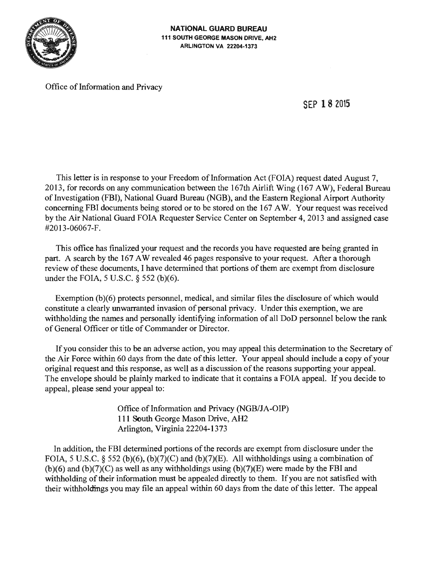

Office of Information and Privacy

SEP **18** <sup>2015</sup>

This letter is in response to your Freedom of Information Act (FOIA) request dated August 7, 2013, for records on any communication between the l 67th Airlift Wing (167 AW), Federal Bureau of Investigation (FBI), National Guard Bureau (NGB), and the Eastern Regional Airport Authority concerning FBI documents being stored or to be stored on the 167 AW. Your request was received by the Air National Guard FOIA Requester Service Center on September 4, 2013 and assigned case #2013-06067-F.

This office has finalized your request and the records you have requested are being granted in part. A search by the 167 AW revealed 46 pages responsive to your request. After a thorough review of these documents, I have determined that portions of them are exempt from disclosure under the FOIA, 5 U.S.C. § 552 (b)(6).

Exemption (b)(6) protects personnel, medical, and similar files the disclosure of which would constitute a clearly unwarranted invasion of personal privacy. Under this exemption, we are withholding the names and personally identifying information of all DoD personnel below the rank of General Officer or title of Commander or Director.

If you consider this to be an adverse action, you may appeal this determination to the Secretary of the Air Force within 60 days from the date of this letter. Your appeal should include a copy of your original request and this response, as well as a discussion of the reasons supporting your appeal. The envelope should be plainly marked to indicate that it contains a FOIA appeal. If you decide to appeal, please send your appeal to:

> Office of Information and Privacy (NGB/JA-OIP) 111 South George Mason Drive, AH2 Arlington, Virginia 22204-1373

In addition, the FBI determined portions of the records are exempt from disclosure under the FOIA, 5 U.S.C. § 552 (b)(6), (b)(7)(C) and (b)(7)(E). All withholdings using a combination of  $(b)(6)$  and  $(b)(7)(C)$  as well as any withholdings using  $(b)(7)(E)$  were made by the FBI and withholding of their information must be appealed directly to them. If you are not satisfied with their withholdings you may file an appeal within 60 days from the date of this letter. The appeal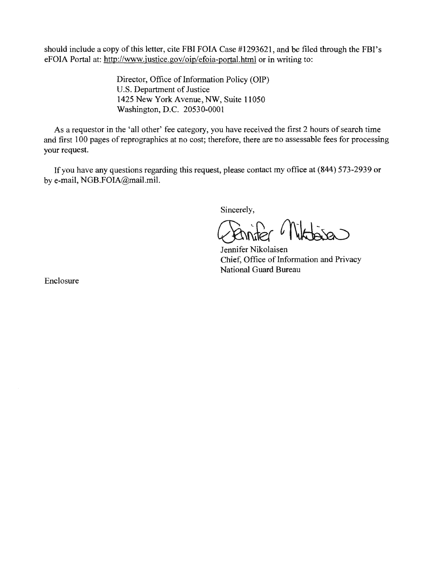should include a copy of this letter, cite FBI FOIA Case #1293621, and be filed through the FBI's eFOIA Portal at: http://www.justice.gov/oip/efoia-portal.html or in writing to:

> Director, Office of Information Policy (OIP) U.S. Department of Justice 1425 New York Avenue, NW, Suite 11050 Washington, D.C. 20530-0001

As a requestor in the 'all other' fee category, you have received the first 2 hours of search time and first 100 pages of reprographics at no cost; therefore, there are no assessable fees for processing your request.

If you have any questions regarding this request, please contact my office at (844) 573-2939 or by e-mail, NGB.FOIA@mail.mil.

Sincerely,

Jennifer Nikolaisen Chief, Office of Information and Privacy National Guard Bureau

Enclosure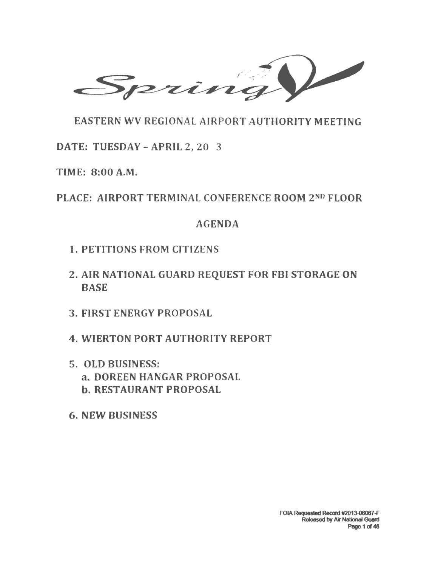$\overline{\phantom{a}}$  prin

EASTERN WV REGIONAL AIRPORT AUTHORITY MEETING

DATE: TUESDAY -APRIL Z, 20 3

TIME: 8:00 A.M.

PLACE: AIRPORT TERMINAL CONFERENCE ROOM zNo FLOOR

# AGENDA

- 1. PETITIONS FROM CITIZENS
- 2. AIR NATIONAL GUARD REQUEST FOR FBI STORAGE ON **BASE**
- 3. FIRST ENERGY PROPOSAL
- 4. WIERTON PORT AUTHORITY REPORT
- 5. OLD BUSINESS: a. DOREEN HANGAR PROPOSAL b. RESTAURANT PROPOSAL
- 6. NEW BUSINESS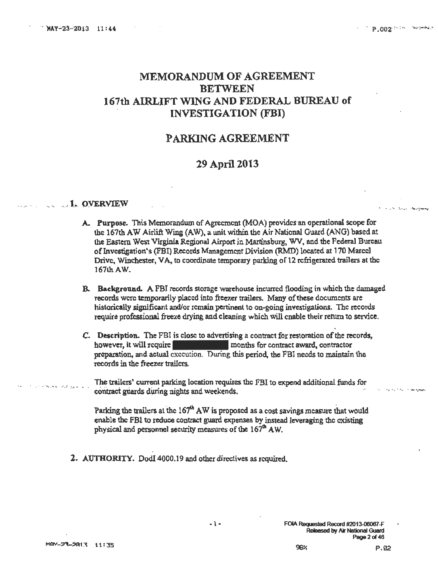.. · ........ *. , ....* ~: *....* "'

 $\mathbf{r}_\mathrm{in}$  .  $\mathbf{r}_\mathrm{in}$  ,  $\mathbf{r}_\mathrm{in}$  . The subset of

## MEMORANDUM OF AGREEMENT BETWEEN l 67th AIRLIFT WING AND FEDERAL BUREAU of INVESTIGATION (FBI)

#### PARKING AGREEMENT

#### :29 April 2013

#### ..... **1. OVERVIEW**

- A. Purpose. This Memorandum of Agreement (MOA) provides an operational scope for the 167th AW Airlift Wing (AW). a unit within the Air National Guard (ANG) based at the Eastern West Virginia Regional Airport in Martinsburg, WV, and the Federal Bureau of Investigation's (FBI) Records Management Division (RMD) located at 170 Marcel Drive. Winchester, VA, to coordinate temporary parking of 12 refrigerated trallers at the 167lh.AW.
- B. Background. A FBI records storage warehouse incurred flooding in which the damaged records were temporarily placed into ftee7.er trailers. Many of these documents are historically significant and/or remain pertinent to on·goins investigations. The records require professional freeze drying and cleaning which will enable their return to service.
- C. Description. The FBI is close to advertising a contract for restoration of the records, however, it will require **the contract award**, contractor preparation, and actual execution. During this period, the FBI needs to maintain the records in the freezer trailers.

The trailers' current parking location requires the FBI to expend additional funds for contract guards during nights and weekends.

Parking the trailers at the  $167<sup>th</sup>$  AW is proposed as a cost savings measure that would enable the FBI to reduce contract guard expenses by instead leveraging the existing physical and personnel security measures of the  $167<sup>th</sup>$  AW.

2. AUTHORITY. Dodl 4000.19 and other directives as required.

• .. •' .,~ ... '!' • -· ..... ; *:·* .. • ••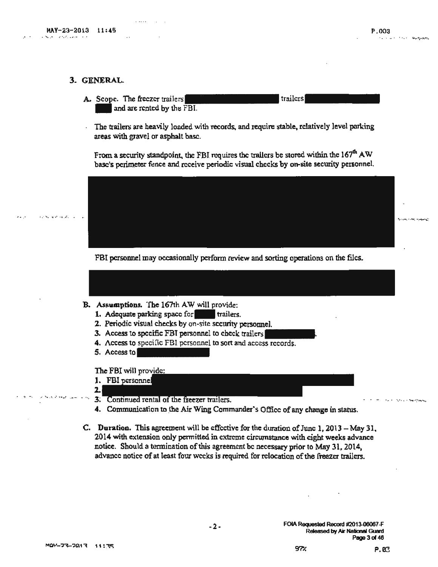~. ,. ··. . .· .... " .. • ., ..... ·... .

#### 3. GENERAL.

A. Scope. The freezer trailers and arc rented by the FBI.

The trailers are heavily loaded with records, and require stable, relatively level parking areas with gravel or asphalt base.

.' ....... • ·I' ••• •• • *J•* - - • • •• • " ..... =:.., .... ~.:~-..:.. .-~

From a security standpoint, the FBI requires the trailers be stored within the  $167<sup>th</sup>$  AW base's perimeter fence and receive periodic visual checks by on-site security personnel.

 $^{*}$  ,  $^{*}$  ,  $^{*}$  ,  $^{*}$  ,  $^{*}$  ,  $^{*}$  ,  $^{*}$  ,  $^{*}$  ,  $^{*}$  ,  $^{*}$  ,  $^{*}$  ,  $^{*}$  ,  $^{*}$  ,  $^{*}$  ,  $^{*}$  ,  $^{*}$  ,  $^{*}$  ,  $^{*}$  ,  $^{*}$  ,  $^{*}$  ,  $^{*}$  ,  $^{*}$  ,  $^{*}$  ,  $^{*}$  ,  $^{*}$  ,  $^{*}$  ,  $^{*}$  ,  $^{*}$ 

trailers

FBI personnel may occasionally perform review and sorting operations on the files.

- B. Assumptions. The 167th AW will provide:
	- 1. Adequate parking space for trailers.
	- 2. Periodic visual checks by on-site security personnel.
	- 3. Access to specific FBT personnel to check trailers
	- 4. Access to specific FBI personnel to sort and access records.
	- 5. Accessto

The FBI will provide:

- 1. FBI personnel
- 2.| 3. Continued rental of the freezer trailers.
- 4. Communication to the Air Wing Commander's Office of any change in status.
- C. Duration. This agreement will be effective for the duration of June 1, 2013 May 31. 2014 with extension only permitted in extreme circumstance with eight weeks advance notice. Should a termination of this agreement be necessary prior to May 31, 2014, advance notice of at least four weeks is required for relocation of the freezer trailers.

-2-

.. ., ,~, .• *" .. ,,.:, ,p\_.* ''.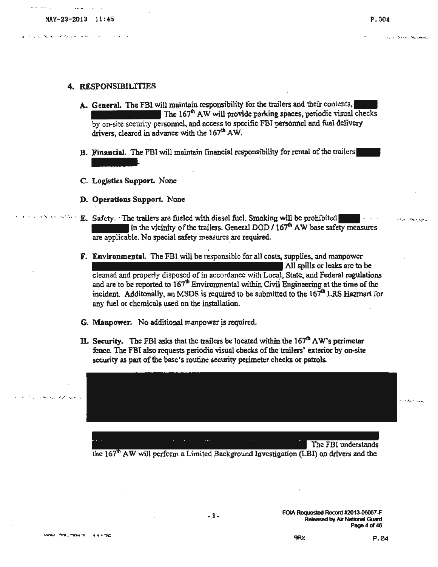• *i* ~· .

#### 4. RESPONSIBILITIES

- A. General. The FBI will maintain responsibility for the trailers and their contents, The  $167<sup>th</sup>$  AW will provide parking spaces, periodic visual checks by on-site security personnel, and access to specific FBI personnel and fuel delivery drivers, cleared in advance with the  $167<sup>th</sup>$  AW.
- B. Financial. The FBI will maintain financial responsibility for rental of the trailers Fina<br>Logi
- C. Logistics Support. None
- D- Operations Support. None
- E. Safety. The trailers are fueled with diesel fuel. Smoking will be prohibited  $\blacksquare$ ... in the vicinity of the trailers. General DOD  $\sqrt{167}^{\text{th}}$  AW base safety measures are applicable. No special safety measures are required.
- F. Environmental. The FBI will be responsible for all costs, supplies, and manpower All spills or leaks arc to be cleaned and properly disposed of in accordance with Local, State, and Federal regulations and are to be reported to  $167<sup>th</sup>$  Environmental within Civil Engineering at the time of the incident. Additonally, an MSDS is required to be submitted to the  $167<sup>th</sup>$  LRS Hazmart for any fuel or chemicals used on the installation.
- G. Manpower. No additional manpower is required.
- H. Security. The FBI asks that the trailers be located within the  $167^{\text{th}} \Lambda W$ 's perimeter fence. The FBI also requests periodic visual checks of the trailers' exterior by on-site security as part of the base's routine security perimeter checks or patrols.

. .... ~ .... ·~~------- ~- --- ----------- The FBI understands

the  $167<sup>th</sup>$  AW will perform a Limited Background Investigation (LBI) on drivers and the

.<br>· بيد الله الأرب ... .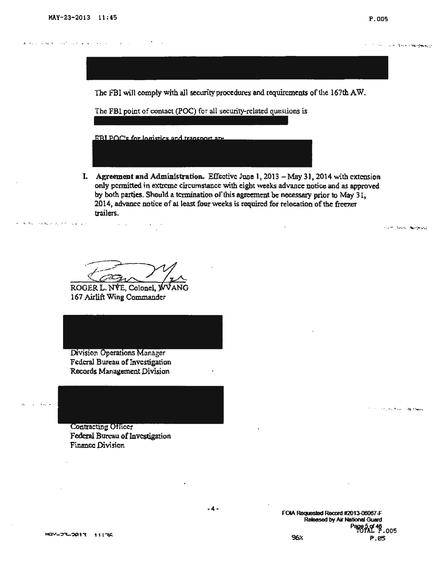. .. .... ,-..., :: .,• .· .. ·. - ...

..... - .s.

**Secondary Area Happy and Contract** 

The FBI will comply with all security procedures and requirements of the 167th AW.

The FBl point of contact (POC) for all security-related questions is

RBI POC's for logistics and transport are

**I.** Agreement and Administration. Effective June 1, 2013 - May 31, 2014 with extension only permitted in extreme circumstance with eight weeks advance notice and as approved by both parties. Should a termination of this agreement be necessary prior to May 31, 2014, advance notice of at least four weeks is required for relocation of the freezer trailers .

**Andrew Save Mauritius** 

بمعواقبها أمكنه بالراديات

ROGER L. NVE, Colonel, WVANG 167 Airlift Wing Commander

 $\omega_{\rm{max}}$  and  $\omega_{\rm{max}}$ 

Division Operations Manager Federal Bureau of Investigation Records Management Division

**Contracting Officer** Federal Bureau of Investigation Finance Division

> FOIA Requested Record #2013-06067-F **Released by Air National Guard**  $\Lambda$ L $^{46}$  , 005 96X P.05

MQY-77-7013 11:36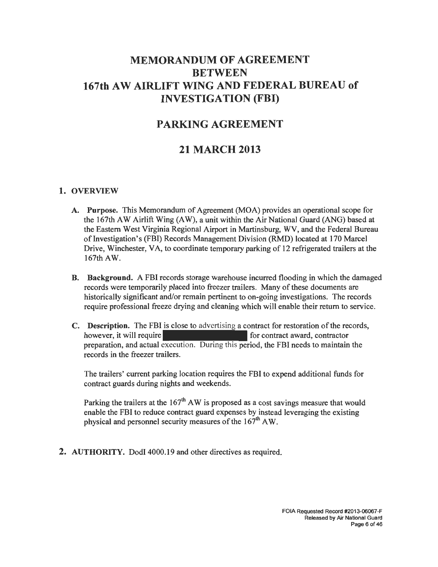# **MEMORANDUM OF AGREEMENT BETWEEN 167th AW AIRLIFT WING AND FEDERAL BUREAU of INVESTIGATION (FBI)**

# **PARKING AGREEMENT**

# **21 MARCH 2013**

#### **1. OVERVIEW**

- **A. Purpose.** This Memorandum of Agreement (MOA) provides an operational scope for the 167th AW Airlift Wing (AW), a unit within the Air National Guard (ANG) based at the Eastern West Virginia Regional Airport in Martinsburg, WV, and the Federal Bureau of Investigation's (FBI) Records Management Division (RMD) located at 170 Marcel Drive, Winchester, VA, to coordinate temporary parking of 12 refrigerated trailers at the 167th AW.
- **B. Background.** A FBI records storage warehouse incurred flooding in which the damaged records were temporarily placed into freezer trailers. Many of these documents are historically significant and/or remain pertinent to on-going investigations. The records require professional freeze drying and cleaning which will enable their return to service.
- **C. Description.** The FBI is close to advertising a contract for restoration of the records, however, it will require for contract award, contractor preparation, and actual execution. During this period, the FBI needs to maintain the records in the freezer trailers.

The trailers' current parking location requires the FBI to expend additional funds for contract guards during nights and weekends.

Parking the trailers at the  $167<sup>th</sup>$  AW is proposed as a cost savings measure that would enable the FBI to reduce contract guard expenses by instead leveraging the existing physical and personnel security measures of the  $167<sup>th</sup>$  AW.

**2. AUTHORITY.** Dodi 4000.19 and other directives as required.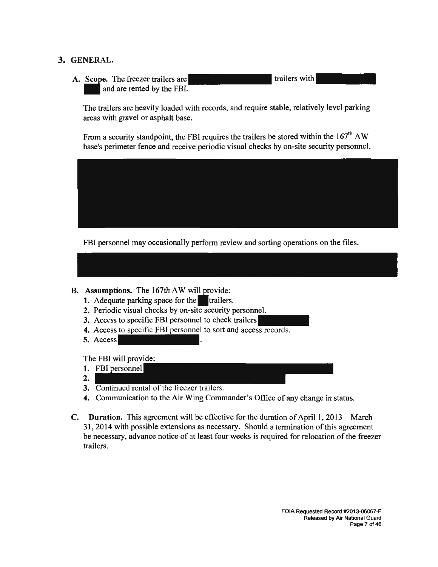#### **3. GENERAL.**

A. Scope. The freezer trailers are and are rented by the FBI. trailers with

The trailers are heavily loaded with records, and require stable, relatively level parking areas with gravel or asphalt base.

From a security standpoint, the FBI requires the trailers be stored within the 167<sup>th</sup> AW base's perimeter fence and receive periodic visual checks by on-site security personnel.



FBI personnel may occasionally perform review and sorting operations on the files.

- **B.** Assumptions. The 167th AW will provide:
	- **1.** Adequate parking space for the trailers.
	- **2.** Periodic visual checks by on-site security personnel.
	- **3.** Access to specific FBI personnel to check trailers
	- **4.** Access to specific FBI personnel to sort and access records.
	- **5.** Access

The FBI will provide:

- **1.** FBI personnel
- **2.**
- **3.** Continued rental of the freezer trailers.
- **4.** Communication to the Air Wing Commander's Office of any change in status.
- **C.** Duration. This agreement will be effective for the duration of April 1, 2013 March 31, 2014 with possible extensions as necessary. Should a termination of this agreement be necessary, advance notice of at least four weeks is required for relocation of the freezer trailers.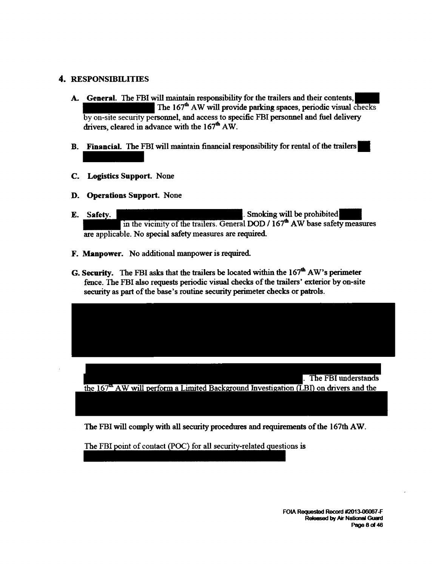#### 4. RESPONSIBILITIES

- A. General. The FBI will maintain responsibility for the trailers and their contents, The 167<sup>th</sup> AW will provide parking spaces, periodic visual checks by on-site security personnel, and access to specific FBI personnel and fuel delivery drivers, cleared in advance with the  $167<sup>th</sup> AW$ .
- B. Financial. The FBI will maintain financial responsibility for rental of the trailers
- C. Logistics Support. None
- D. Operations Support. None
- E. Safety. in the vicinity of the trailers. General DOD /  $167<sup>th</sup>$  AW base safety measures are applicable. No special safety measures are required.
- F. Manpower. No additional manpower is required
- G. Security. The FBI asks that the trailers be located within the  $167<sup>th</sup>$  AW's perimeter fence. The FBI also requests periodic visual checks of the trailers' exterior by on-site secmity as part of the base's routine security perimeter checks or patrols.

. The FBI understands the  $167^{\circ}$  AW will perform a Limited Background Investigation (LBI) on drivers and the

The FBI will comply with all security procedures and requirements of the l 67th AW.

The FBI point of contact (POC) for all security-related questions is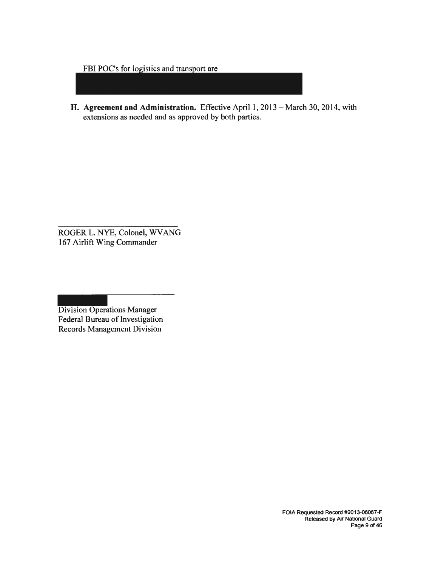FBI POC's for logistics and transport are

**H. Agreement and Administration.** Effective April 1, 2013 - March 30, 2014, with extensions as needed and as approved by both parties.

ROGER L. NYE, Colonel, WVANG 167 Airlift Wing Commander

Division Operations Manager Federal Bureau of Investigation Records Management Division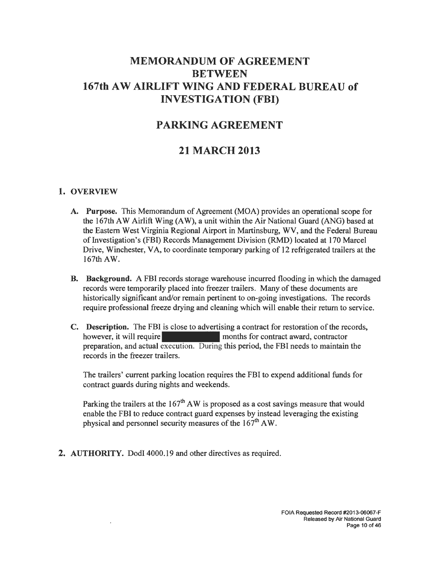# **MEMORANDUM OF AGREEMENT BETWEEN 167th AW AIRLIFT WING AND FEDERAL BUREAU of INVESTIGATION (FBI)**

# **PARKING AGREEMENT**

# **21 MARCH 2013**

#### **1. OVERVIEW**

- **A. Purpose.** This Memorandum of Agreement (MOA) provides an operational scope for the 167th AW Airlift Wing (AW), a unit within the Air National Guard (ANG) based at the Eastern West Virginia Regional Airport in Martinsburg, WV, and the Federal Bureau of Investigation's (FBI) Records Management Division (RMD) located at 170 Marcel Drive, Winchester, VA, to coordinate temporary parking of 12 refrigerated trailers at the 167th AW.
- **B. Background.** A FBI records storage warehouse incurred flooding in which the damaged records were temporarily placed into freezer trailers. Many of these documents are historically significant and/or remain pertinent to on-going investigations. The records require professional freeze drying and cleaning which will enable their return to service.
- **C. Description.** The FBI is close to advertising a contract for restoration of the records, however, it will require months for contract award, contractor preparation, and actual execution. During this period, the FBI needs to maintain the records in the freezer trailers.

The trailers' current parking location requires the FBI to expend additional funds for contract guards during nights and weekends.

Parking the trailers at the  $167<sup>th</sup>$  AW is proposed as a cost savings measure that would enable the FBI to reduce contract guard expenses by instead leveraging the existing physical and personnel security measures of the  $167<sup>th</sup> AW$ .

**2. AUTHORITY.** Dodi 4000.19 and other directives as required.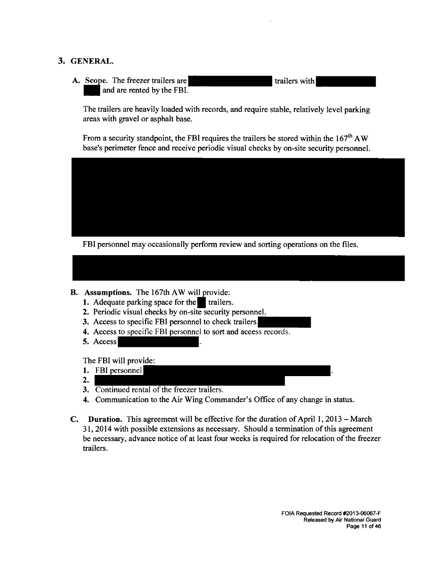#### **3. GENERAL.**

A. Scope. The freezer trailers are and are rented by the FBI. trailers with

The trailers are heavily loaded with records, and require stable, relatively level parking areas with gravel or asphalt base.

From a security standpoint, the FBI requires the trailers be stored within the  $167<sup>th</sup>$  AW base's perimeter fence and receive periodic visual checks by on-site security personnel.



FBI personnel may occasionally perform review and sorting operations on the files.

#### **B. Assumptions.** The 167th AW will provide:

- **1.** Adequate parking space for the **I** trailers.
- **2.** Periodic visual checks by on-site security personnel.
- **3.** Access to specific FBI personnel to check trailers
- **4.** Access to specific FBI personnel to sort and access records.
- **5.** Access

The FBI will provide:

- **1.** FBI personnel
- **2.**
- **3.** Continued rental of the freezer trailers.
- **4.** Communication to the Air Wing Commander's Office of any change in status.
- **C. Duration.** This agreement will be effective for the duration of April 1, 2013 March 31, 2014 with possible extensions as necessary. Should a termination of this agreement be necessary, advance notice of at least four weeks is required for relocation of the freezer trailers.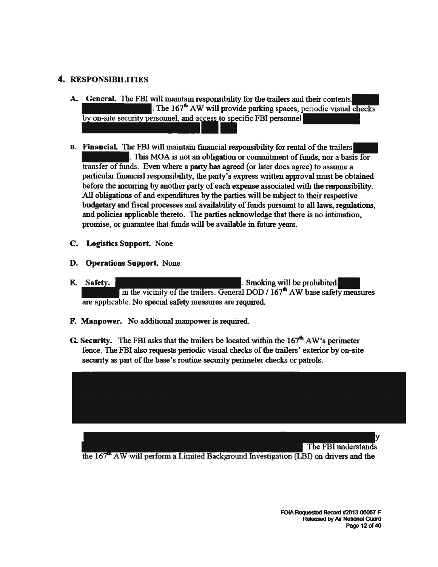#### 4. RESPONSIBILITIES

- A. General. The FBI will maintain responsibility for the trailers and their contents. The  $167<sup>th</sup>$  AW will provide parking spaces, periodic visual checks by on-site security personnel, and access to specific FBI personnel
- B. Financial. The FBI will maintain financial responsibility for rental of the trailers-. This MOA is not an obligation or commitment of funds, nor a basis for transfer of funds. Even where a party has agreed (or later does agree) to assume a particular financial responsibility, the party's express written approval must be obtained before the incmring by another party of each expense associated with the responsibility. All obligations of and expenditures by the parties will be subject to their respective budgetary and fiscal processes and availability of funds pursuant to all laws, regulations, and policies applicable thereto. The parties acknowledge that there is no intimation, promise, or guarantee that funds will be available in future years.
- C. Logistics Support. None
- D. Operations Support. None
- E. Safety. **E.** Safety. in the vicinity of the trailers. General DOD / 167<sup>th</sup> AW base safety measures are applicable. No special safety measures are required.
- F. Manpower. No additional manpower is required.
- G. Security. The FBI asks that the trailers be located within the  $167<sup>th</sup>$  AW's perimeter fence. The FBI also requests periodic visual checks of the trailers' exterior by on-site security as part of the base's routine security perimeter checks or patrols.

y The FBI understands AW will perform a Limited Background Investigation (LBI) on drivers and the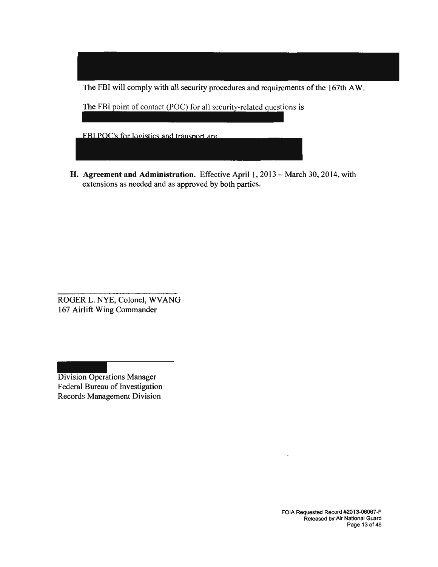The FBI will comply with all security procedures and requirements of the 167th AW.

The FBI point of contact (POC) for all security-related questions is

**FBI POC's for logistics and transport are** 

**H. Agreement and Administration.** Effective April 1, 2013 - March 30, 2014, with extensions as needed and as approved by both parties.

ROGER L. NYE, Colonel, WVANG 167 Airlift Wing Commander

Division Operations Manager Federal Bureau of Investigation Records Management Division

> FOIA Requested Record #2013-06067-F Released by Air National Guard Page 13 of 46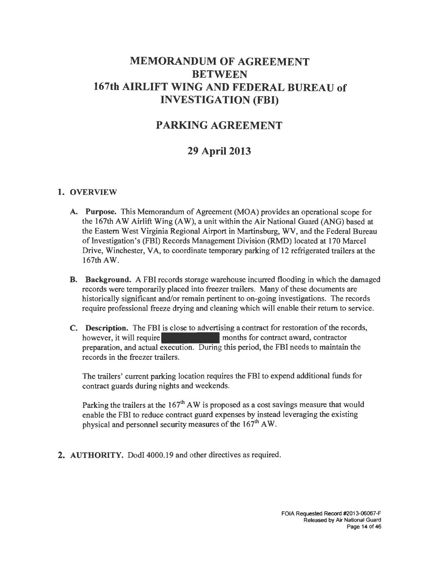# **MEMORANDUM OF AGREEMENT BETWEEN 167th AIRLIFT WING AND FEDERAL BUREAU of INVESTIGATION (FBI)**

# **PARKING AGREEMENT**

# **29 April 2013**

#### **1. OVERVIEW**

- **A. Purpose.** This Memorandum of Agreement (MOA) provides an operational scope for the 167th AW Airlift Wing  $(AW)$ , a unit within the Air National Guard  $(ANG)$  based at the Eastern West Virginia Regional Airport in Martinsburg, WV, and the Federal Bureau of Investigation's (FBI) Records Management Division (RMD) located at 170 Marcel Drive, Winchester, VA, to coordinate temporary parking of 12 refrigerated trailers at the 167thAW.
- **B. Background.** A FBI records storage warehouse incurred flooding in which the damaged records were temporarily placed into freezer trailers. Many of these documents are historically significant and/or remain pertinent to on-going investigations. The records require professional freeze drying and cleaning which will enable their return to service.
- **C. Description.** The FBI is close to advertising a contract for restoration of the records, however, it will require months for contract award, contractor preparation, and actual execution. During this period, the FBI needs to maintain the records in the freezer trailers.

The trailers' current parking location requires the FBI to expend additional funds for contract guards during nights and weekends.

Parking the trailers at the  $167<sup>th</sup>$  AW is proposed as a cost savings measure that would enable the FBI to reduce contract guard expenses by instead leveraging the existing physical and personnel security measures of the  $167<sup>th</sup>$  AW.

**2. AUTHORITY.** DodI 4000.19 and other directives as required.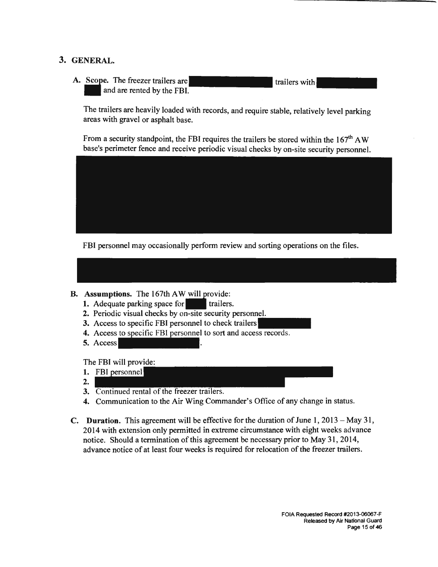### **3. GENERAL.**

A. Scope. The freezer trailers are and are rented by the FBI. trailers with

The trailers are heavily loaded with records, and require stable, relatively level parking areas with gravel or asphalt base.

From a security standpoint, the FBI requires the trailers be stored within the  $167<sup>th</sup>$  AW base's perimeter fence and receive periodic visual checks by on-site security personnel.



FBI personnel may occasionally perform review and sorting operations on the files.



- **B.** Assumptions. The 167th AW will provide:
	- **1.** Adequate parking space for trailers.
	- **2.** Periodic visual checks by on-site security personnel.
	- **3.** Access to specific FBI personnel to check trailers
	- **4.** Access to specific FBI personnel to sort and access records.
	- **5.** Access

The FBI will provide:

- **1.** FBI personnel
- **2.**
- **3.** Continued rental of the freezer trailers.
- **4.** Communication to the Air Wing Commander's Office of any change in status.
- **C.** Duration. This agreement will be effective for the duration of June 1, 2013 May 31, 2014 with extension only permitted in extreme circumstance with eight weeks advance notice. Should a termination of this agreement be necessary prior to May 31, 2014, advance notice of at least four weeks is required for relocation of the freezer trailers.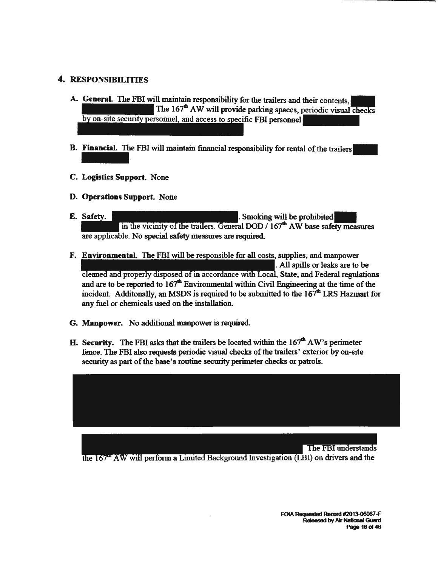#### 4. RESPONSIBILITIES

- A. General. The FBI will maintain responsibility for the trailers and their contents, The 167<sup>th</sup> AW will provide parking spaces, periodic visual checks by on-site security personnel, and access to specific FBI personnel
- B. Financial. The FBI will maintain financial responsibility for rental of the trailers
- C. Logistics Support. None
- D. Operations Support. None
- E. Safety. The same state of the state of the state of the state of the state of the state of the state of the state of the state of the state of the state of the state of the state of the state of the state of the state o in the vicinity of the trailers. General DOD  $/167<sup>th</sup>$  AW base safety measures are applicable. No special safety measures are required.
- F. Environmental. The FBI will be responsible for all costs, supplies, and manpower . All spills or leaks are to be cleaned and properly disposed of in accordance with Local, State, and Federal regulations and are to be reported to  $167<sup>th</sup>$  Environmental within Civil Engineering at the time of the incident. Additonally, an MSDS is required to be submitted to the  $167<sup>th</sup>$  LRS Hazmart for any fuel or chemicals used on the installation.
- G. Manpower. No additional manpower is required.
- H. Security. The FBI asks that the trailers be located within the  $167<sup>th</sup>$  AW's perimeter fence. The FBI also requests periodic visual checks of the trailers' exterior by on-site secmity as part of the base's routine security perimeter checks or patrols.

The FBI understands

the 167<sup>th</sup> AW will perform a Limited Background Investigation (LBI) on drivers and the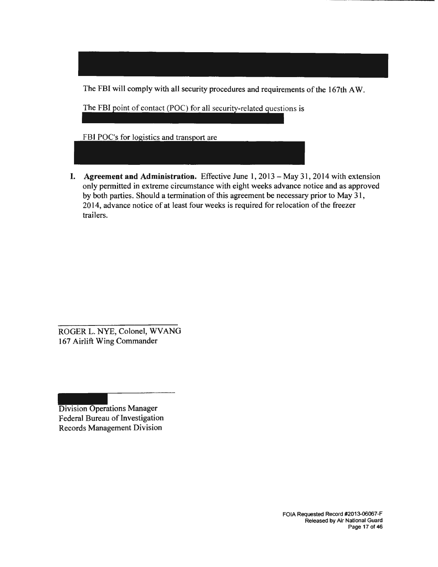The FBI will comply with all security procedures and requirements of the 167th AW.

The FBI point of contact (POC) for all security-related questions is

FBI POC's for logistics and transport are

**I. Agreement and Administration.** Effective June 1, 2013 - May 31 , 2014 with extension only permitted in extreme circumstance with eight weeks advance notice and as approved by both parties. Should a termination of this agreement be necessary prior to May 31, 2014, advance notice of at least four weeks is required for relocation of the freezer trailers.

ROGER L. NYE, Colonel, WVANG 167 Airlift Wing Commander

Division Operations Manager Federal Bureau of Investigation Records Management Division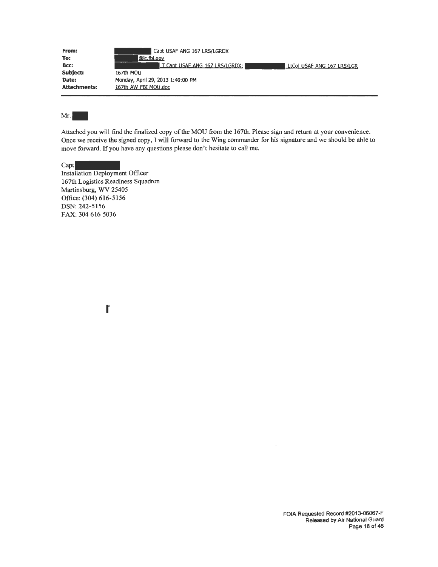| From:               | Capt USAF ANG 167 LRS/LGRDX                                  |
|---------------------|--------------------------------------------------------------|
| To:                 | @ic.fbi.gov                                                  |
| Bcc:                | T Capt USAF ANG 167 LRS/LGRDX;<br>LtCol USAF ANG 167 LRS/LGR |
| Subject:            | 167th MOU                                                    |
| Date:               | Monday, April 29, 2013 1:40:00 PM                            |
| <b>Attachments:</b> | 167th AW FBI MOU.doc                                         |

Mr. $\vert$ 

Attached you will find the finalized copy of the MOU from the 167th. Please sign and return at your convenience. Once we receive the signed copy, I will forward to the Wing commander for his signature and we should be able to move forward. If you have any questions please don't hesitate to call me.

Capt Installation Deployment Officer 167th Logistics Readiness Squadron Martinsburg, WV 25405 Office: (304) 616-5156 DSN: 242-5156 FAX: 304 616 5036

**I'**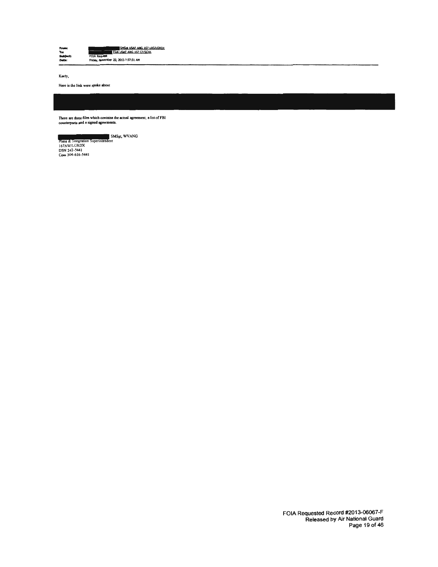| Frome<br>Toc | SMSOL USAF ANG 167 LRS/LGRDX<br>TSat USAF ANG 167 CF/SCXK |
|--------------|-----------------------------------------------------------|
| Subject:     | <b>FOIA Request</b>                                       |
| Date:        | Friday, November 22, 2013 7:57:51 AM                      |

Koely,

Here ia the link were spoke about

There are three files which contains the actual agreement, a list of FBI counterparts and a signed agreements.

Plans & Integration Superintendent<br>167AW/LGRDX<br>DSN 242-5441<br>Com 304-616-5441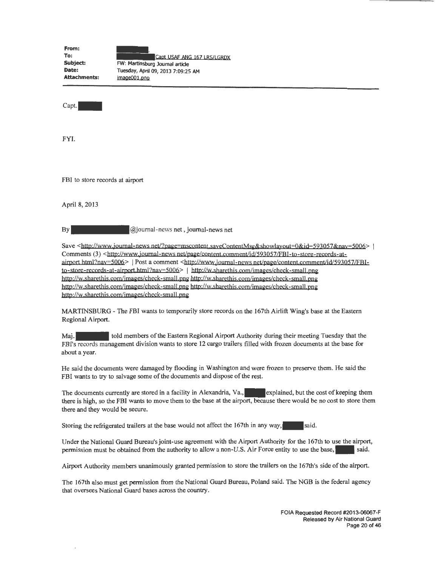| From:               |                                    |
|---------------------|------------------------------------|
| To:                 | Capt USAF ANG 167 LRS/LGRDX        |
| Subject:            | FW: Martinsburg Journal article    |
| Date:               | Tuesday, April 09, 2013 7:09:25 AM |
| <b>Attachments:</b> | image001.png                       |

Capt.

FYI.

FBI to store records at airport

April 8, 2013

By @journal-news net, journal-news net

Save <http://www.journal-news net/?page=mscontent.sayeContentMsg&showlayout=0&id=593057&nay=5006> Comments (3) <http://www.journal-news net/page/content.comment/id/593057/FBI-to-store-records-atairport html?nav=5006> | Post a comment <http://www.journal-news net/page/content.comment/id/593057/FBIto-store-records-at-airport.html?nav=5006> | http://w.sharethis.com/images/check-small.png http://w.sharethis.com/jmages/check-small.png http://w.sharethis.com/jmages/check-small.png http://w.sharethis.com/jmages/check-small.png http://w.sharethis.com/jmages/check-small.png http://w.sharethis.com/images/check-small.png

MARTINSBURG - The FBI wants to temporarily store records on the 167th Airlift Wing's base at the Eastern Regional Airport.

Maj. **EXECUTE:** told members of the Eastern Regional Airport Authority during their meeting Tuesday that the FBI's records management division wants to store 12 cargo trailers filled with frozen documents at the base for about a year.

He said the documents were damaged by flooding in Washington and were frozen to preserve them. He said the FBI wants to try to salvage some of the documents and dispose of the rest.

The documents currently are stored in a facility in Alexandria, Va., explained, but the cost of keeping them there is high, so the FBI wants to move them to the base at the airport, because there would be no cost to store them there and they would be secure.

Storing the refrigerated trailers at the base would not affect the 167th in any way, said.

Under the National Guard Bureau's joint-use agreement with the Airport Authority for the l 67th to use the airport, permission must be obtained from the authority to allow a non-U.S. Air Force entity to use the base, said.

Airport Authority members unanimously granted permission to store the trailers on the 167th's side of the airport.

The 167th also must get permission from the National Guard Bureau, Poland said. The NGB is the federal agency that oversees National Guard bases across the country.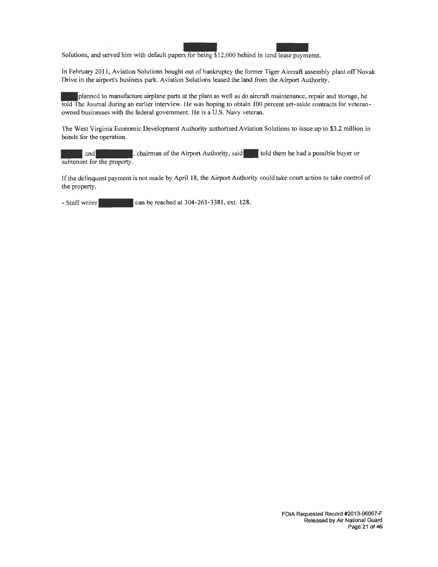Solutions, and served him with default paper Solution of the Second text of bankruptcy the former Tiper Aircretise Cout of bankruptcy the former Tiper Aircretise s for being \$12,000 behind in land lease payments.

In February 2011, Aviation Solutions bought out of bankruptcy the former Tiger Aircraft assembly plant off Novak Drive in the airport's business park. Aviation Solutions leased the land from the Airport Authority.

.. planned to manufacture airplane parts at the plant as well as do aircraft maintenance, repair and storage, he told The Journal during an earlier interview. He was hoping to obtain 100 percent set-aside contracts for veteranowned businesses with the federal government. He is a U.S. Navy veteran.

The West Virginia Economic Development Authority authorized Aviation Solutions to issue up to \$3.2 million in bonds for the operation.

and **and**, chairman of the Airport Authority, said told them he had a possible buyer or subtenant for the property.

If the delinquent payment is not made by April 18, the Airport Authority could take court action to take control of the property.

 $-$  Staff writer $\sim$  can be reached at 304-263-3381, ext. 128.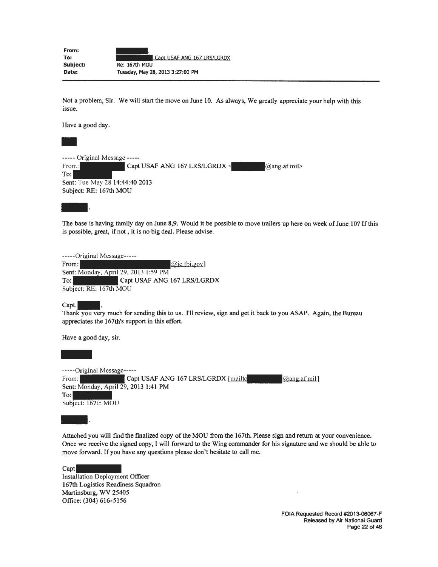| From:    |                                  |
|----------|----------------------------------|
| To:      | Capt USAF ANG 167 LRS/LGRDX      |
| Subject: | <b>Re: 167th MOU</b>             |
| Date:    | Tuesday, May 28, 2013 3:27:00 PM |

Not a problem, Sir. We will start the move on June 10. As always, We greatly appreciate your help with this issue.

Have a good day.

----- Original Message -----<br>From: Capt Capt USAF ANG 167 LRS/LGRDX  $\leq$  @ang.af mil> To: Sent: Tue May 28 14:44:40 2013 Subject: RE: 167th MOU

Subject: RE: 167th MOU<br>
The base is having family day on June 8,9. Would it be possible to move trailers up here on week of June 10? If this<br>
is possible, great, if not, it is no big deal. Please advise. is possible, great, if not, it is no big deal. Please advise.

-----Original Message----- From:  $\widehat{a}$  ic fbi.gov] Sent: Monday, April 29, 2013 1:59 PM To: Capt USAF ANG 167 LRS/LGRDX Subject: RE: 167th MOU

Capt.

Thank you very much for sending this to us. I'll review, sign and get it back to you ASAP. Again, the Bureau appreciates the 167th's support in this effort.

Have a good day, sir.

Have -----Original Message----- From: Capt USAF ANG 167 LRS/LGRDX [mailto] [@ang.afmil] Sent: Monday, April 29, 2013 1:41 PM  $T$ o: Subject: 167th MOU

Subject: 167th MOU<br>
<br>
Attached you will find the finalized copy of the MOU from the 167th. Please sign and return at your convenience.<br>
Once we receive the signed copy, I will forward to the Wing commander for his signatur Once we receive the signed copy, I will forward to the Wing commander for his signature and we should be able to move forward. If you have any questions please don't hesitate to call me.

Capt Installation Deployment Officer 167th Logistics Readiness Squadron Martinsburg, WV 25405 Office: (304) 616-5156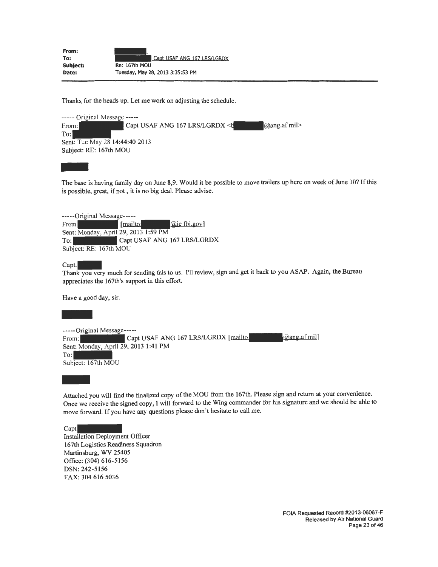| From:    |                                  |
|----------|----------------------------------|
| To:      | Capt USAF ANG 167 LRS/LGRDX      |
| Subject: | <b>Re: 167th MOU</b>             |
| Date:    | Tuesday, May 28, 2013 3:35:53 PM |

Thanks for the heads up. Let me work on adjusting the schedule.

----- Original Message ----- From: Capt USAF ANG 167 LRS/LGRDX <br/>  $\blacksquare$  @ang.af mil> To: Sent: Tue May 28 14:44:40 2013 Subject: RE: 167th MOU

sent:<br>Subje<br>The b<br>is pos The base is having family day on June 8,9. Would it be possible to move trailers up here on week of June 10? If this is possible, great, if not , it is no big deal. Please advise.

| -----Original Message-----           |          |                             |
|--------------------------------------|----------|-----------------------------|
| From                                 | [mailto: | <i>a</i> ic fbi.gov]        |
| Sent: Monday, April 29, 2013 1:59 PM |          |                             |
| $T_{\rm O}$ :                        |          | Capt USAF ANG 167 LRS/LGRDX |
| Subject: RE: 167th MOU               |          |                             |

Capt.<br>Thank you very much for sending this to us. I'll review, sign and get it back to you ASAP. Again, the Bureau appreciates the 167th's support in this effort.

| Have a good day, sir.                                                                                                                                                                         |
|-----------------------------------------------------------------------------------------------------------------------------------------------------------------------------------------------|
|                                                                                                                                                                                               |
| -----Original Message-----<br>@ang.af mil]<br>Capt USAF ANG 167 LRS/LGRDX [mailto]<br>From:<br>Sent: Monday, April 29, 2013 1:41 PM<br>To:<br>Subject: 167th MOU                              |
| Attached you will find the finalized copy of the MOU from the 167th. Please sign and return at<br>Once we receive the signed copy, I will forward to the Wing commander for his signature and |

Attached you will find the finalized copy of the MOU from the 167th. Please sign and return at your convenience. Once we receive the signed copy, I will forward to the Wing commander for his signature and we should be able to move forward. If you have any questions please don't hesitate to call me.

Capt

Installation Deployment Officer 167th Logistics Readiness Squadron Martinsburg, WV 25405 Office: (304) 616-5156 DSN: 242-5156 FAX: 304 616 5036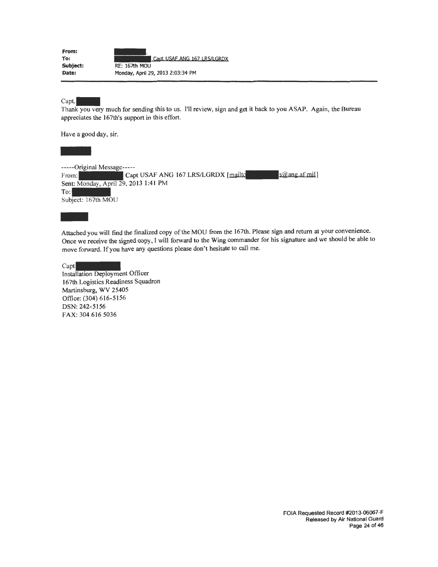| From:    |                                   |
|----------|-----------------------------------|
| To:      | Capt USAF ANG 167 LRS/LGRDX       |
| Subject: | <b>RE: 167th MOU</b>              |
| Date:    | Monday, April 29, 2013 2:03:34 PM |

 $Capt.$ 

Thank you very much for sending this to us. 1'11 review, sign and get it back to you ASAP. Again, the Bureau appreciates the 167th's support in this effort.

Have a good day, sir.

-----Original Message-----<br>From: Cap Capt USAF ANG 167 LRS/LGRDX [mailto sales and sales afmil] Sent: Monday, April 29, 2013 1:41 PM  $T_{\rm O}$ : Subject: 167th MOU

To:<br>Subjet<br>Attack<br>Once Attached you will find the finalized copy of the MOU from the 167th. Please sign and return at your convenience. Once we receive the signed copy, I will forward to the Wing commander for his signature and we should be able to move forward. If you have any questions please don't hesitate to call me.

Capt Installation Deployment Officer 167th Logistics Readiness Squadron Martinsburg, WV 25405 Office: (304) 616-5156 DSN: 242-5156 FAX: 304 616 5036

> FOIA Requested Record #2013-06067-F Released by Air National Guard Page 24 of 46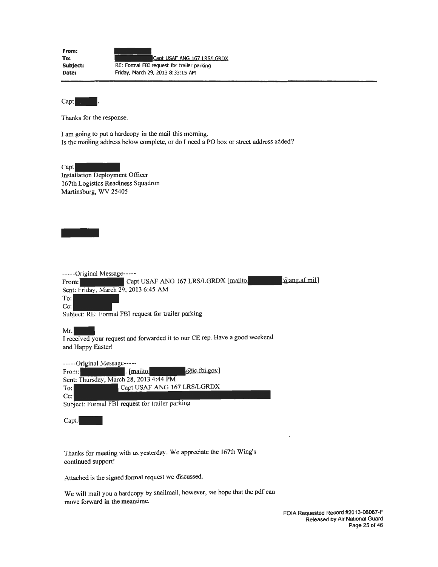| From:    |                                            |
|----------|--------------------------------------------|
| To:      | Capt USAF ANG 167 LRS/LGRDX                |
| Subject: | RE: Formal FBI request for trailer parking |
| Date:    | Friday, March 29, 2013 8:33:15 AM          |

Capt<sub>1</sub>

-

Thanks for the response.

I am going to put a hardcopy in the mail this morning. Is the mailing address below complete, or do I need a PO box or street address added?

Capt Installation Deployment Officer 167th Logistics Readiness Squadron Martinsburg, WV 25405

| -----Original Message-----           |                                                     |
|--------------------------------------|-----------------------------------------------------|
| From:                                | @ang.af mil<br>Capt USAF ANG 167 LRS/LGRDX [mailto] |
| Sent: Friday, March 29, 2013 6:45 AM |                                                     |
| To:                                  |                                                     |
| $Cc$ :                               |                                                     |
|                                      | Subject: RE: Formal FBI request for trailer parking |

Mr. **I received your request and forwarded it to our CE rep.** Have a good weekend and Happy Easter!

-----Original Message-----<br>From: [100] . [mailto] -----Original Message-----<br>From: Thursday, March 28, 2013 4:44 PM<br>Sent: Thursday, March 28, 2013 4:44 PM To: Capt USAF ANG 167 LRS/LGRDX Cc:

Subject: Formal FBI request for trailer parking

Capt.

Thanks for meeting with us yesterday. We appreciate the 167th Wing's continued support!

Attached is the signed formal request we discussed.

We will mail you a hardcopy by snailmail, however, we hope that the pdf can move forward in the meantime.

> FOIA Requested Record #2013-06067-F Released by Air National Guard Page 25 of 46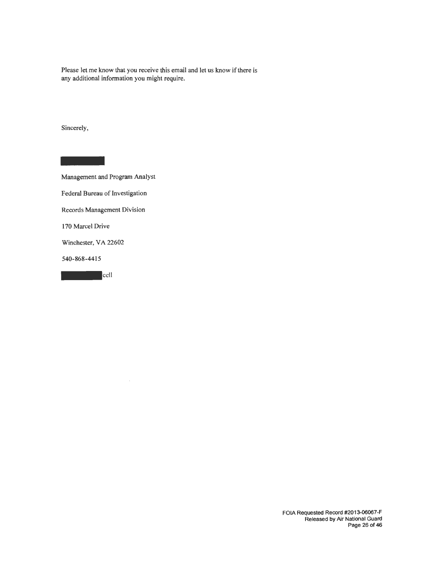Please let me know that you receive this email and let us know if there is any additional information you might require.

Sincerely,

**Mana** Management and Program Analyst Federal Bureau of Investigation Records Management Division 170 Marcel Drive Winchester, VA 22602<br>540-868-4415<br>cell 540-868-4415

 $\bar{z}$ 

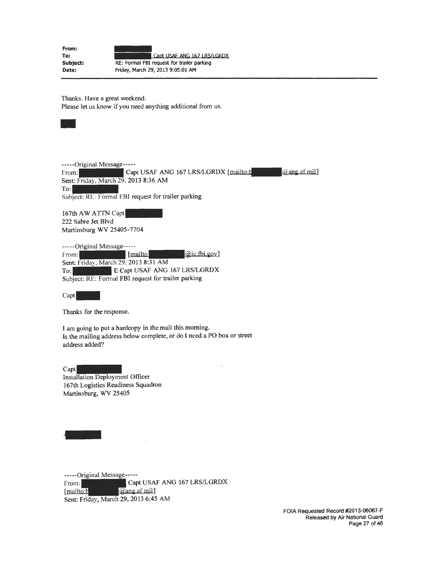**From: To: Subject: Date:**  Capt USAF ANG 167 LRS/LGRDX RE: Formal FBI request for trailer parking Friday, March 29, 2013 9:05:01 AM

Thanks. Have a great weekend. Please let us know if you need anything additional from us.



-----Original Message----- From: Capt USAF ANG 167 LRS/LGRDX [mailto:b and mail and mail] Sent: Friday, March 29, 2013 8:36 AM To: Subject: RE: Formal FBI request for trailer parking<br>167th AW ATTN Capt<br>222 Sebre Jet Blyd

222 Sabre Jet Blvd Martinsburg WV 25405-7704

-----Original Message----- -----Original Message-----<br>From: [*mailto*] [mailto] [mailto] [mailto] [mailto] [mailto] [2012, 8:31, 4M] Sent: Friday, March 29, 2013 8:31 AM To: E Capt USAF ANG 167 LRS/LGRDX Subject: RE: Formal FBI request for trailer parking

Capt

Thanks for the response.

I am going to put a hardcopy in the mail this morning. Is the mailing address below complete, or do I need a PO box or street address added?

Capt Installation Deployment Officer l 67th Logistics Readiness Squadron Martinsburg, WV 25405

-

-----Original Message----- From: Capt USAF ANG 167 LRS/LGRDX @ang.af mil] [mailto:b Sent: Friday, March 29, 2013 6:45 AM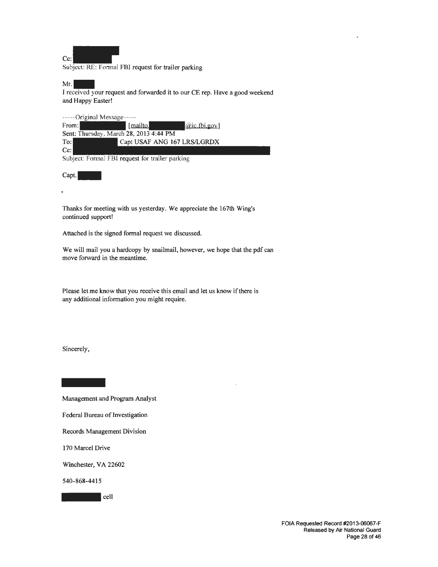

Subject: RE: Formal FBI request for trailer parking

 $Mr.$ 

I received your request and forwarded it to our CE rep. Have a good weekend and Happy Easter!

-----Original Message-----

From: [mailto] [mailto] [mailto] [aic.fbi.gov] Sent: Thursday, March 28, 2013 4:44 PM To: Capt USAF ANG 167 LRS/LGRDX Cc:

Subject: Formal FBI request for trailer parking

Capt.

Thanks for meeting with us yesterday. We appreciate the 167th Wing's continued support!

Attached is the signed formal request we discussed.

We will mail you a hardcopy by snailmail, however, we hope that the pdf can move forward in the meantime. .

Please let me know that you receive this email and let us know if there is any additional information you might require.

Sincerely,

-<br>Mana<sub>i</sub> Management and Program Analyst

Federal Bureau of Investigation

Records Management Division

170 Marcel Drive

Winchester, VA 22602

540-868-4415

 $\blacksquare$  cell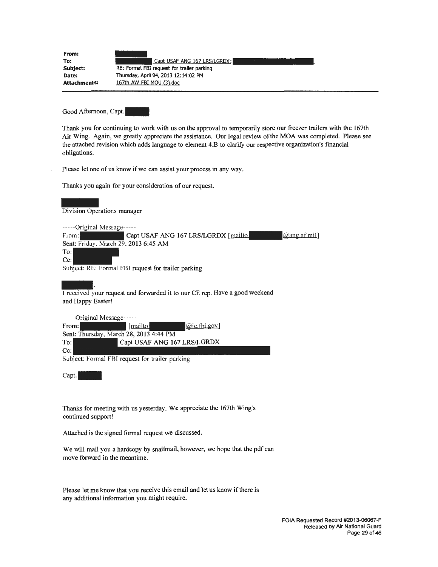| From:<br>To:        | Capt USAF ANG 167 LRS/LGRDX;               |
|---------------------|--------------------------------------------|
| Subject:            | RE: Formal FBI request for trailer parking |
| Date:               | Thursday, April 04, 2013 12:14:02 PM       |
| <b>Attachments:</b> | 167th AW FBI MOU (3), doc                  |
|                     |                                            |

Good Afternoon, Capt.

Thank you for continuing to work with us on the approval to temporarily store our freezer trailers with the 167th Air Wing. Again, we greatly appreciate the assistance. Our legal review of the MOA was completed. Please see the attached revision which adds language to element 4.B to clarify our respective organization's financial obligations.

Please Jet one of us know if we can assist your process in any way.

| Thanks you again for your consideration of our request.                               |
|---------------------------------------------------------------------------------------|
| Division Operations manager                                                           |
| $---Original Message---$<br><i>a</i> ang af mil                                       |
| Capt USAF ANG 167 LRS/LGRDX [mailto]<br>From:<br>Sent: Friday, March 29, 2013 6:45 AM |
| To:                                                                                   |
| $Cc$ :                                                                                |
| Subject: RE: Formal FBI request for trailer parking                                   |

I received your request and forwarded it to our CE rep. Have a good weekend and Happy Easter!

| -----Original Message-----             |          |                             |
|----------------------------------------|----------|-----------------------------|
| From:                                  | [mailto] | $(a$ ic.fbi.gov             |
| Sent: Thursday, March 28, 2013 4:44 PM |          |                             |
| To:                                    |          | Capt USAF ANG 167 LRS/LGRDX |
| $Cc$ :                                 |          |                             |

Subject: Formal FBI request for trailer parking

Capt.

Thanks for meeting with us yesterday. We appreciate the 167th Wing's continued support!

Attached is the signed fonnal request we discussed.

We will mail you a hardcopy by snailmail, however, we hope that the pdf can move forward in the meantime.

Please let me know that you receive this email and let us know if there is any additional information you might require.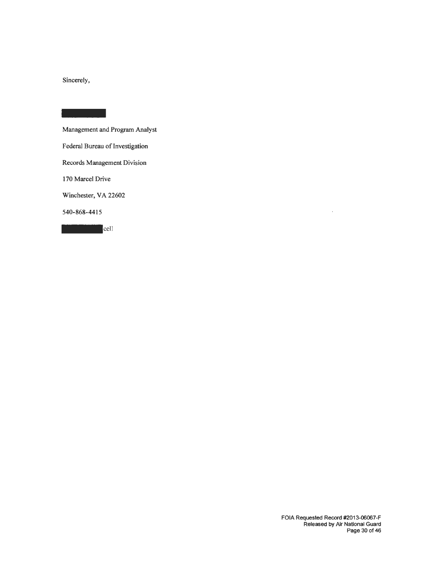Sincerely,

Management and Program Analyst Federal Bureau of Investigation Records Management Division 170 Marcel Drive Winchester, VA 22602 540-868-4415

**The Contract of Second** 

 $\bar{z}$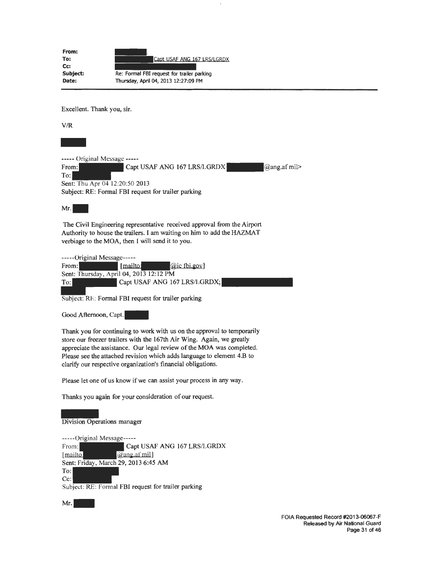**From: To:**  Cc: **Subject: Date:**  Capt USAF ANG 167 LRS/LGRDX Re: Fonnal FBI request for trailer parking Thursday, April 04, 2013 12:27:09 PM

Excellent. Thank you, sir.

V/R

----- Original Message -----<br>From: Capt Capt USAF ANG 167 LRS/LGRDX- $Q$ ang.afmil> To: Sent: Thu Apr 04 12:20:50 2013 Subject: RE: Formal FBI request for trailer parking

 $Mr.$ 

The Civil Engineering representative received approval from the Airport Authority to house the trailers. I am waiting on him to add the HAZMAT verbiage to the MOA, then I will send it to you.

-----Original Message-----<br>From: [*mailto]* [*mailto]* [*@icfbi.gov*] Sent: Thursday, April 04, 2013 12:12 PM From: [mailto]<br>Sent: Thursday, April 04, 2013 12:12 PM<br>To: Capt USAF ANG 167 LRS/LGRDX;

Subject: RE: Formal FBI request for trailer parking

Good Afternoon, Capt.

Thank you for continuing to work with us on the approval to temporarily store our freezer trailers with the 167th Air Wing. Again, we greatly appreciate the assistance. Our legal review of the MOA was completed. Please see the attached revision which adds language to element 4.B to clarify our respective organization's financial obligations .

. Please let one of us know if we can assist your process in any way.

Thanks you again for your consideration of our request.

Thank<br>Divisi<br>-----( Division Operations manager

-----Original Message-----

From: Capt USAF ANG 167 LRS/LGRDX [mailto] @ang.af mil] Sent: Friday, March 29, 2013 6:45 AM To: Cc:

Subject: RE: Formal FBI request for trailer parking

 $Mr.$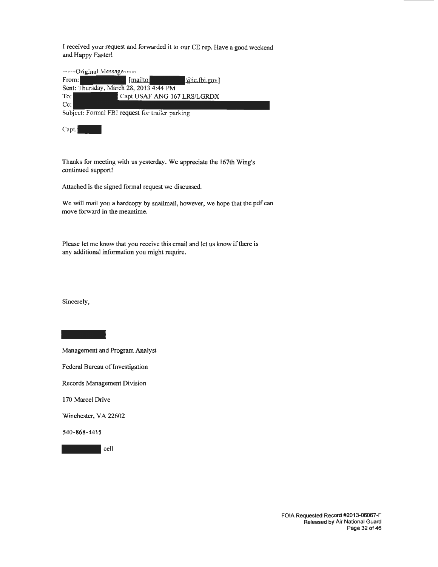I received your request and forwarded it to our CE rep. Have a good weekend and Happy Easter!

-----Original Message-----

| From:                                  | [mailto] | $(i)$ $(i)$ $(i)$           |
|----------------------------------------|----------|-----------------------------|
| Sent: Thursday, March 28, 2013 4:44 PM |          |                             |
| To:                                    |          | Capt USAF ANG 167 LRS/LGRDX |
| $C_{\mathbb{C}}$ :                     |          |                             |

Subject: Formal FBI request for trailer parking

Capt.<sup>1</sup>

Thanks for meeting with us yesterday. We appreciate the 167th Wing's continued support!

Attached is the signed formal request we discussed.

We will mail you a hardcopy by snailmail, however, we hope that the pdf can move forward in the meantime.

Please let me know that you receive this email and let us know if there is any additional information you might require.

Sincerely,

Management and Program Analyst Federal Bureau of Investigation Records Management Division 170 Marcel Drive

Winchester, VA 22602

540-868-4415

- cell

FOIA Requested Record #2013-06067-F Released by Air National Guard Page 32 of 46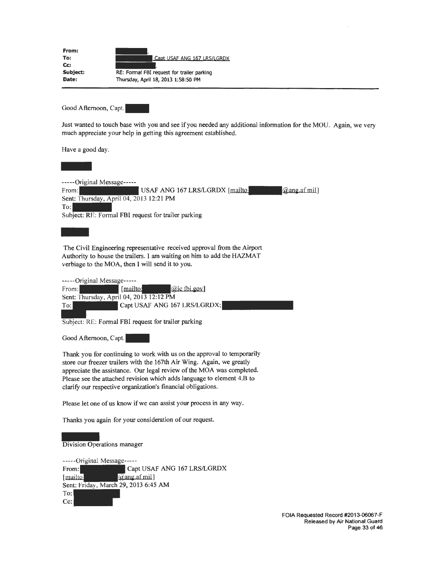| From:              |                                            |
|--------------------|--------------------------------------------|
| To:                | Capt USAF ANG 167 LRS/LGRDX                |
| $C_{\mathbb{C}}$ : |                                            |
| Subject:           | RE: Formal FBI request for trailer parking |
| Date:              | Thursday, April 18, 2013 1:58:50 PM        |

Good Afternoon, Capt.

Just wanted to touch base with you and see if you needed any additional information for the MOU. Again, we very much appreciate your help in getting this agreement established.

Have a good day.



-----Original Message------<br>From: USAF ANG 167 LRS/LGRDX  $[mailto]$   $@ang.af mi]$ Sent: Thursday, April 04, 2013 12:21 PM To: Subject: RE: Formal FBI request for trailer parking To:<br>Subje<br>The C<br>Autho

The Civil Engineering representative received approval from the Airport Authority to house the trailers. I am waiting on him to add the HAZMAT verbiage to the MOA, then I will send it to you.

|       | -----Original Message-----              |                              |
|-------|-----------------------------------------|------------------------------|
| From: | [mailto:                                | $(a)$ ic fbi.gov             |
|       | Sent: Thursday, April 04, 2013 12:12 PM |                              |
| To:   |                                         | Capt USAF ANG 167 LRS/LGRDX; |
|       |                                         |                              |

Subject: RE: Formal FBI request for trailer parking

Good Afternoon, Capt.

Thank you for continuing to work with us on the approval to temporarily store our freezer trailers with the 167th Air Wing. Again, we greatly appreciate the assistance. Our legal review of the MOA was completed. Please see the attached revision which adds language to element 4.B to clarify our respective organization's financial obligations.

Please let one of us know if we can assist your process in any way.

Thanks you again for your consideration of our request.

# Thank<br>Divisi<br>-----( Division Operations manager

-----Original Message----- From: Capt USAF ANG 167 LRS/LGRDX  $@$ ang.afmil) [mailto] Sent: Friday, March 29, 2013 6:45 AM To: Cc: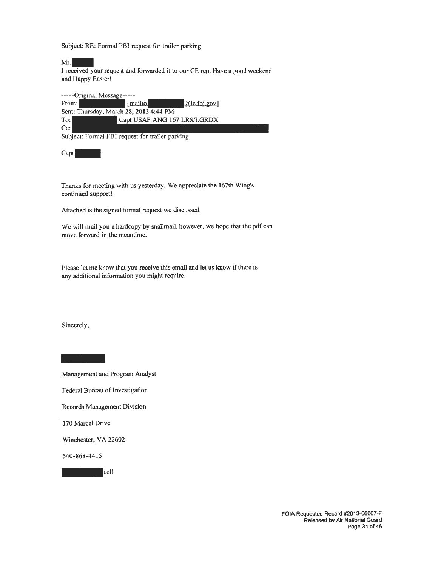Subject: RE: Formal FBI request for trailer parking

Subject: RE: Formal FBI request for trailer parking<br>Mr.<br>I received your request and forwarded it to our CE rep. Have a good weekend and Happy Easter!

-----Original Message----- -----Original Message-----<br>From: [*mailto*]<br>Sent: Thursday, Marsh 23, 2012, 4:44 BM Sent: Thursday, March 28, 2013 4:44 PM To: Capt USAF ANG 167 LRS/LGRDX Cc: Subject: Formal FBJ request for trailer parking

Capt

Thanks for meeting with us yesterday. We appreciate the 167th Wing's continued support!

Attached is the signed formal request we discussed.

We will mail you a hardcopy by snailmail, however, we hope that the pdf can move forward in the meantime.

Please let me know that you receive this email and let us know if there is any additional information you might require.

Sincerely,

**Mana** Management and Program Analyst

Federal Bureau of Investigation

Records Management Division

170 Marcel Drive

Winchester, VA 22602

540-868-4415

 $|cell$ 

FOIA Requested Record #2013-06067-F Released by Air National Guard Page 34 of 46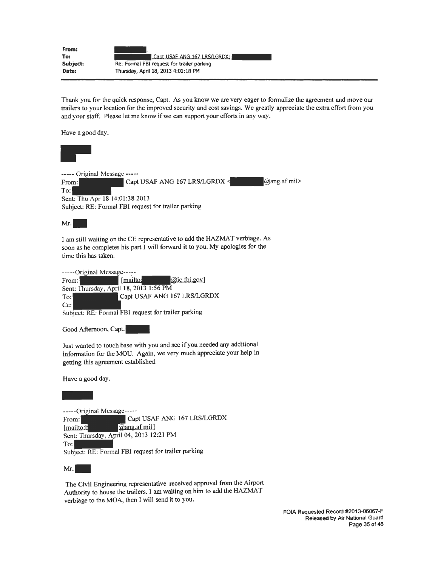| From:<br>To: | Capt USAF ANG 167 LRS/LGRDX;               |
|--------------|--------------------------------------------|
| Subject:     | Re: Formal FBI request for trailer parking |
| Date:        | Thursday, April 18, 2013 4:01:18 PM        |

Thank you for the quick response, Capt. As you know we are very eager to formalize the agreement and move our trailers to your location for the improved security and cost savings. We greatly appreciate the extra effort from you and your staff. Please let me know if we can support your efforts in any way.

Have a good day.



 $Mr.$ 

I am still waiting on the CE representative to add the HAZMAT verbiage. As soon as he completes his part I will forward it to you. My apologies for the time this has taken.

| -----Original Message----- |                                                     |                             |
|----------------------------|-----------------------------------------------------|-----------------------------|
| From:                      | [mailto:                                            | <i>a</i> ic fbi.gov         |
|                            | Sent: Thursday, April 18, 2013 1:56 PM              |                             |
| To:                        |                                                     | Capt USAF ANG 167 LRS/LGRDX |
| $Cc$ :                     |                                                     |                             |
|                            | Subject: RE: Formal FBI request for trailer parking |                             |

Good Afternoon, Capt.

Just wanted to touch base with you and see if you needed any additional information for the MOU. Again, we very much appreciate your help in getting this agreement established.

Have a good day.

Have<br> $\overline{\phantom{a}}$ <br> $\overline{\phantom{a}}$ <br> $\overline{\phantom{a}}$ <br> $\overline{\phantom{a}}$ <br> $\overline{\phantom{a}}$ <br> $\overline{\phantom{a}}$ <br> $\overline{\phantom{a}}$ <br> $\overline{\phantom{a}}$ <br> $\overline{\phantom{a}}$ 

-----Original Message----- From: Capt USAF ANG 167 LRS/LGRDX [mailto:h | @ang.afmil] Sent: Thursday, April 04, 2013 12:21 PM  $T_{\rm O}$ : Subject: RE: Formal FBI request for trailer parking

Mr.

The Civil Engineering representative received approval from the Airport Authority to house the trailers. I am waiting on him to add the HAZMAT verbiage to the MOA, then I will send it to you.

> FOIA Requested Record #2013-06067-F Released by Air National Guard Page 35 of 46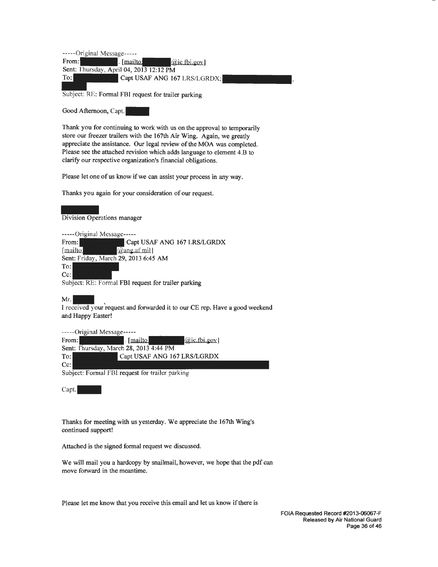-----Original Message----- From:  $\boxed{\text{main}}$ . [mailto:  $\boxed{\text{a}$ ic fbi.gov] Sent: Thursday, April 04, 2013 12:12 PM The USAF ANG 167 LRS/LGRDX;<br>
Thursday, April 04, 2013 12:12 PM<br>
To: Capt USAF ANG 167 LRS/LGRDX;

Subject: RE: Formal FBI request for trailer parking

Good Afternoon, Capt.

Thank you for continuing to work with us on the approval to temporarily store our freezer trailers with the 167th Air Wing. Again, we greatly appreciate the assistance. Our legal review of the MOA was completed. Please see the attached revision which adds language to element 4.B to clarify our respective organization's financial obligations.

Please let one of us know if we can assist your process in any way.

Thanks you again for your consideration of our request. -

Division Operations manager

-----Original Message-----

From: Capt USAF ANG 167 LRS/LGRDX [mailto] @an2 afmil] Sent: Friday, March 29, 2013 6:45 AM To: Cc: Subject: RE: Formal FBI request for trailer parking

Subject: KE: Formal FBI request for trailer parking<br>Mr.<br>I received your request and forwarded it to our CE rep. Have a good weekend and Happy Easter!

-----Original Message----- From: . [~@ic tbi.2ov] Sent: Thursday, March 28, 2013 4:44 PM To: Capt USAF ANG 167 LRS/LGRDX Cc:

Subject: Formal FBI request for trailer parking

Capt.

Thanks for meeting with us yesterday. We appreciate the 167th Wing's continued support!

Attached is the signed formal request we discussed.

We will mail you a hardcopy by snailmail, however, we hope that the pdf can move forward in the meantime.

Please let me know that you receive this email and let us know if there is

FOIA Requested Record #2013-06067-F Released by Air National Guard Page 36 of 46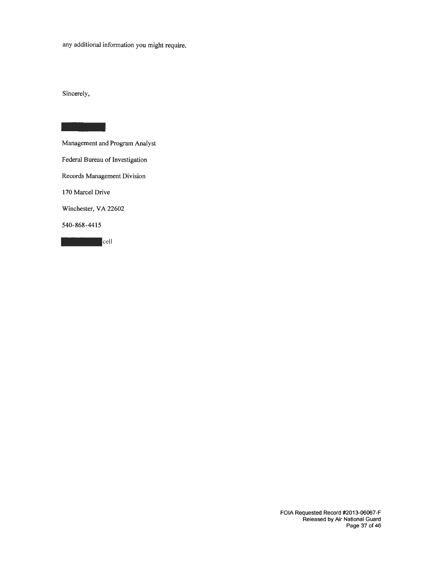any additional information you might require.

Sincerely,

Management and Program Analyst Federal Bureau of Investigation Records Management Division 170 Marcel Drive Winchester, VA 22602<br>540-868-4415<br>cell 540-868-4415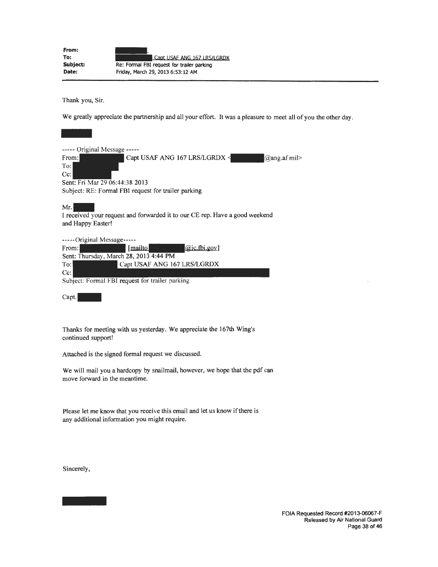| From:    |                                            |
|----------|--------------------------------------------|
| To:      | Capt USAF ANG 167 LRS/LGRDX                |
| Subject: | Re: Formal FBI request for trailer parking |
| Date:    | Friday, March 29, 2013 6:53:12 AM          |

Thank you, Sir.

We greatly appreciate the partnership and all your effort. It was a pleasure to meet all of you the other day.

| We greatly appreciate the partnership and all your effort. It was a pleasure to meet all of             |
|---------------------------------------------------------------------------------------------------------|
|                                                                                                         |
| ----- Original Message -----                                                                            |
| From:<br>Capt USAF ANG 167 LRS/LGRDX <<br>@ang.af mil $>$<br>To:<br>$Cc$ :                              |
| Sent: Fri Mar 29 06:44:38 2013                                                                          |
| Subject: RE: Formal FBI request for trailer parking                                                     |
| Mr.<br>I received your request and forwarded it to our CE rep. Have a good weekend<br>and Happy Easter! |
| -----Original Message-----                                                                              |
| ( <i>Qic.fbi.gov</i> )<br>[mailto]<br>From:                                                             |
| Sent: Thursday, March 28, 2013 4:44 PM                                                                  |
| Capt USAF ANG 167 LRS/LGRDX<br>$T_{\rm O}$ :                                                            |
| $Cc$ :                                                                                                  |
| Subject: Formal FBI request for trailer parking                                                         |

Capt.

Thanks for meeting with us yesterday. We appreciate the 167th Wing's continued support!

Attached is the signed formal request we discussed.

We will mail you a hardcopy by snailmail, however, we hope that the pdf can move forward in the meantime.

Please let me know that you receive this email and let us know if there is any additional information you might require.

Sincerely,

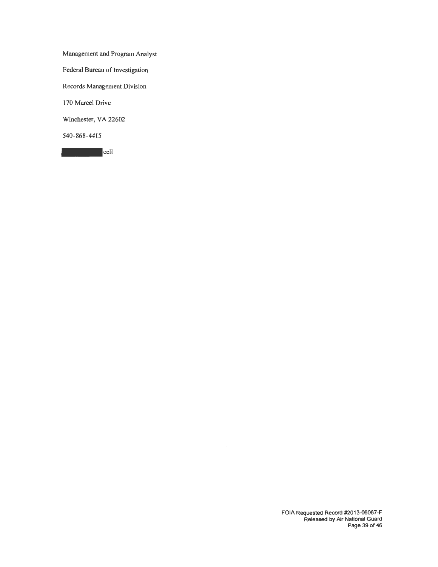Management and Program Analyst Federal Bureau of Investigation Records Management Division 170 Marcel Drive Winchester, VA 22602 540-868-4415

- cell

FOIA Requested Record #2013-06067-F Released by Air National Guard Page 39 of 46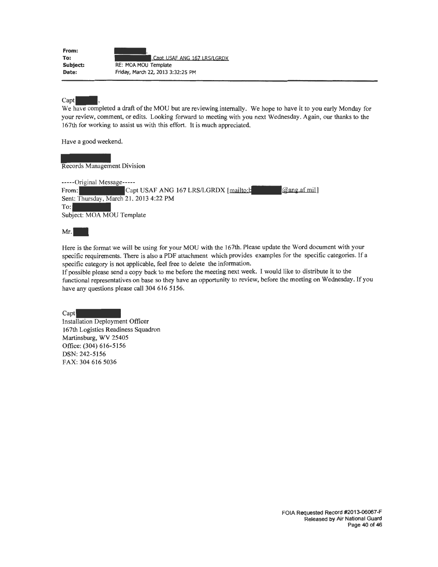| From:    |                                   |
|----------|-----------------------------------|
| To:      | Capt USAF ANG 167 LRS/LGRDX       |
| Subject: | RE: MOA MOU Template              |
| Date:    | Friday, March 22, 2013 3:32:25 PM |

#### Capt

We have completed a draft of the MOU but are reviewing internally. We hope to have it to you early Monday for your review, comment, or edits. Looking forward to meeting with you next Wednesday. Again, our thanks to the 167th for working to assist us with this effort. It is much appreciated.

Have a good weekend.

Records Management Division

-----Original Message----- From: Capt USAF ANG 167 LRS/LGRDX [mailto:b] [@ang.af mil] Sent: Thursday, March 21, 2013 4:22 PM  $T_{0}$ : Subject: MOA MOU Template

Mr.

Here is the format we will be using for your MOU with the 167th. Please update the Word document with your specific requirements. There is also a PDF attachment which provides examples for the specific categories. If a specific category is not applicable, feel free to delete the information.

If possible please send a copy back to me before the meeting next week. I would like to distribute it to the functional representatives on base so they have an opportunity to review, before the meeting on Wednesday. If you have any questions please call 304 616 5156.

Capt Installation Deployment Officer 167th Logistics Readiness Squadron Martinsburg, WV 25405 Office: (304) 616-5156 DSN: 242-5156 FAX: 304 616 5036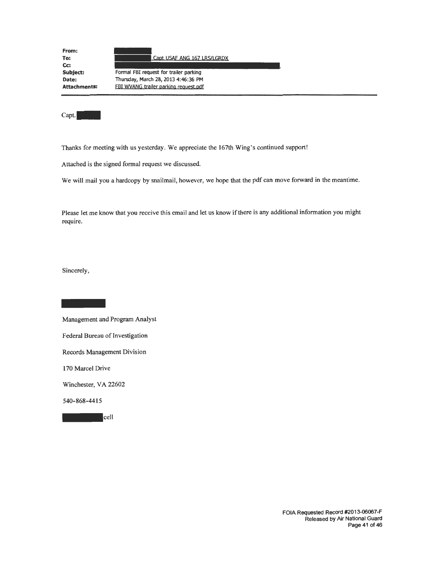| From:<br>To:        | Capt USAF ANG 167 LRS/LGRDX            |
|---------------------|----------------------------------------|
| Cc:                 |                                        |
| Subject:            | Formal FBI request for trailer parking |
| Date:               | Thursday, March 28, 2013 4:46:36 PM    |
| <b>Attachments:</b> | FBI WVANG trailer parking request.pdf  |
|                     |                                        |

Capt.

Thanks for meeting with us yesterday. We appreciate the 167th Wing's continued support!

Attached is the signed formal request we discussed.

We will mail you a hardcopy by snailmail, however, we hope that the pdf can move forward in the meantime.

Please let me know that you receive this email and let us know if there is any additional information you might require.

Sincerely,

-<br>Mana Management and Program Analyst Federal Bureau of Investigation Records Management Division 170 Marcel Drive Winchester, VA 22602 540-868-4415

- cell

FOIA Requested Record #2013-06067-F Released by Air National Guard Page 41 of 46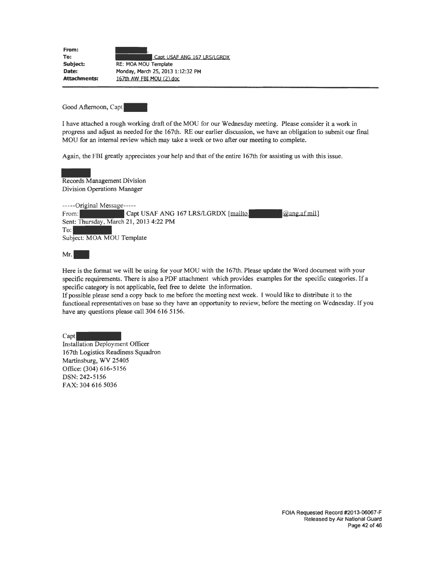| From:               |                                   |  |
|---------------------|-----------------------------------|--|
| To:                 | Capt USAF ANG 167 LRS/LGRDX       |  |
| Subject:            | RE: MOA MOU Template              |  |
| Date:               | Monday, March 25, 2013 1:12:32 PM |  |
| <b>Attachments:</b> | 167th AW FBI MOU (2) doc          |  |

Good Afternoon, Capt

I have attached a rough working draft of the MOU for our Wednesday meeting. Please consider it a work in progress and adjust as needed for the 167th. RE our earlier discussion, we have an obligation to submit our final MOU for an internal review which may take a week or two after our meeting to complete.

Again, the FBI greatly appreciates your help and that of the entire l 67th for assisting us with this issue.

Again<br>Recor<br>Divisi Records Management Division Division Operations Manager -----Original Message----- From: Capt USAF ANG 167 LRS/LGRDX [mailto] [@ang af mil] Sent: Thursday, March 21, 2013 4:22 PM  $T<sub>o</sub>$ : Subject: MOA MOU Template

 $Mr.$ 

Here is the format we will be using for your MOU with the 167th. Please update the Word document with your specific requirements. There is also a PDF attachment which provides examples for the specific categories. If <sup>a</sup> specific category is not applicable, feel free to delete the information.

If possible please send a copy back to me before the meeting next week. I would like to distribute it to the functional representatives on base so they have an opportunity to review, before the meeting on Wednesday. If you have any questions please call 304 616 5156.

Capt

Installation Deployment Officer 167th Logistics Readiness Squadron Martinsburg, WV 25405 Office: (304) 616-5156 DSN: 242-5156 FAX: 304 616 5036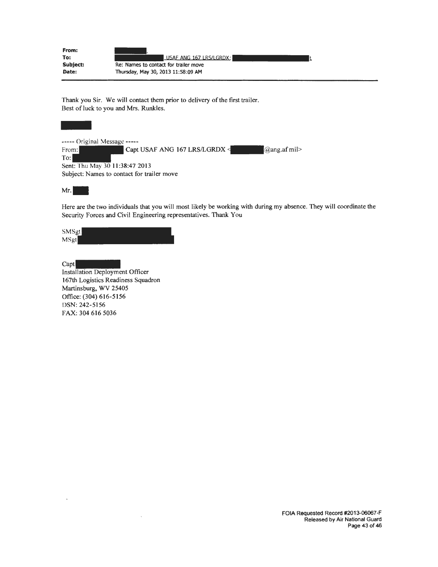| From:<br>To: | USAF ANG 167 LRS/LGRDX:               |
|--------------|---------------------------------------|
| Subject:     | Re: Names to contact for trailer move |
| Date:        | Thursday, May 30, 2013 11:58:09 AM    |

Thank you Sir. We will contact them prior to delivery of the first trailer. Best ofluck to you and Mrs. Runkles. ------ Original Message -----

----- Original Message -----<br>From: Capt USAF ANG 167 LRS/LGRDX < Capt USAF ANG 167 LRS/LGRDX = Capt (2) ang.af mil> To: Sent: Thu May 30 11:38:47 2013 Subject: Names to eontact for trailer move

Mr.

Here are the two individuals that you will most likely be working with during my absence. They will coordinate the Security Forces and Civil Engineering representatives. Thank You

SMSgt MSgt

Capt

 $\ddot{\phantom{0}}$ 

Installation Deployment Officer 167th Logistics Readiness Squadron Martinsburg, WV 25405 Office: (304) 616-5156 DSN: 242-5156 FAX: 304 616 5036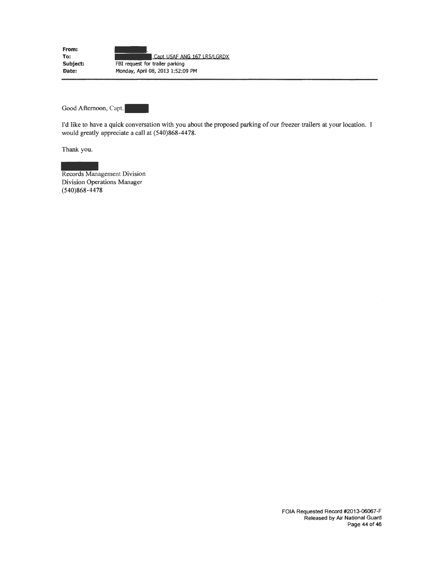**From: To: Subject: Date:**  Capt USAF ANG 167 LRS/LGRDX FBI request for trailer parking Monday, April 08, 2013 1:52:09 PM

Good Afternoon, Capt.

I'd like to have a quick conversation with you about the proposed parking of our freezer trailers at your location. I would greatly appreciate a call at (540)868-4478.

Thank you.

Thank<br>Recor<br>Divisi<br>(540) Records Management Division Division Operations Manager (540)868-4478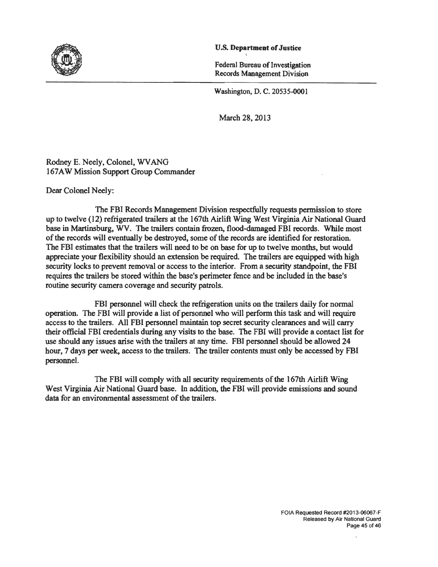

#### U.S. **Department of** Justice

<

Federal Bureau of Investigation Records Management Division

Washington, D. C. 20535-0001

March 28, 2013

Rodney E. Neely, Colonel, WV ANG 167 AW Mission Support Group Commander

Dear Colonel Neely:

The FBI Records Management Division respectfully requests permission to store up to twelve (12) refrigerated trailers at the 167th Airlift Wing West Virginia Air National Guard base in Martinsburg, WV. The trailers contain frozen, flood-damaged FBI records. While most of the records will eventually be destroyed, some of the records are identified for restoration. The FBI estimates that the trailers will need to be on base for up to twelve months, but would appreciate your flexibility should an extension be required. The trailers are equipped with high security locks to prevent removal or access to the interior. From a security standpoint, the FBI requires the trailers be stored within the base's perimeter fence and be included in the base's routine security camera coverage and security patrols.

FBI personnel will check the refrigeration units on the trailers daily for normal operation. The FBI will provide a list of personnel who will perform this task and will require access to the trailers. All FBI personnel maintain top secret security clearances and will carry their official FBI credentials during any visits to the base. The FBI will provide a contact list for use should any issues arise with the trailers at any time. FBI personnel should be allowed 24 hour, 7 days per week, access to the trailers. The trailer contents must only be accessed by FBI personnel.

The FBI will comply with all security requirements of the 167th Airlift Wing West Virginia Air National Guard base. In addition, the FBI will provide emissions and sound data for an environmental assessment of the trailers.